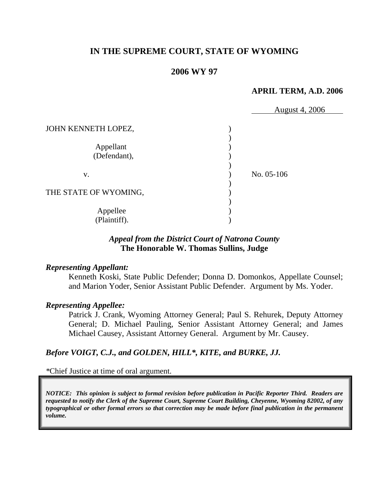# **IN THE SUPREME COURT, STATE OF WYOMING**

### **2006 WY 97**

#### **APRIL TERM, A.D. 2006**

|                           | August 4, 2006 |
|---------------------------|----------------|
| JOHN KENNETH LOPEZ,       |                |
| Appellant<br>(Defendant), |                |
| V.                        | No. 05-106     |
| THE STATE OF WYOMING,     |                |
| Appellee<br>(Plaintiff).  |                |

### *Appeal from the District Court of Natrona County* **The Honorable W. Thomas Sullins, Judge**

#### *Representing Appellant:*

Kenneth Koski, State Public Defender; Donna D. Domonkos, Appellate Counsel; and Marion Yoder, Senior Assistant Public Defender. Argument by Ms. Yoder.

#### *Representing Appellee:*

Patrick J. Crank, Wyoming Attorney General; Paul S. Rehurek, Deputy Attorney General; D. Michael Pauling, Senior Assistant Attorney General; and James Michael Causey, Assistant Attorney General. Argument by Mr. Causey.

#### *Before VOIGT, C.J., and GOLDEN, HILL\*, KITE, and BURKE, JJ.*

*\**Chief Justice at time of oral argument.

*NOTICE: This opinion is subject to formal revision before publication in Pacific Reporter Third. Readers are requested to notify the Clerk of the Supreme Court, Supreme Court Building, Cheyenne, Wyoming 82002, of any typographical or other formal errors so that correction may be made before final publication in the permanent volume.*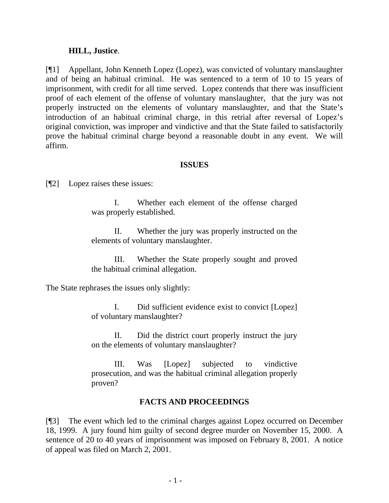#### **HILL, Justice**.

[¶1] Appellant, John Kenneth Lopez (Lopez), was convicted of voluntary manslaughter and of being an habitual criminal. He was sentenced to a term of 10 to 15 years of imprisonment, with credit for all time served. Lopez contends that there was insufficient proof of each element of the offense of voluntary manslaughter, that the jury was not properly instructed on the elements of voluntary manslaughter, and that the State's introduction of an habitual criminal charge, in this retrial after reversal of Lopez's original conviction, was improper and vindictive and that the State failed to satisfactorily prove the habitual criminal charge beyond a reasonable doubt in any event. We will affirm.

#### **ISSUES**

[¶2] Lopez raises these issues:

 I. Whether each element of the offense charged was properly established.

 II. Whether the jury was properly instructed on the elements of voluntary manslaughter.

 III. Whether the State properly sought and proved the habitual criminal allegation.

The State rephrases the issues only slightly:

 I. Did sufficient evidence exist to convict [Lopez] of voluntary manslaughter?

 II. Did the district court properly instruct the jury on the elements of voluntary manslaughter?

 III. Was [Lopez] subjected to vindictive prosecution, and was the habitual criminal allegation properly proven?

# **FACTS AND PROCEEDINGS**

[¶3] The event which led to the criminal charges against Lopez occurred on December 18, 1999. A jury found him guilty of second degree murder on November 15, 2000. A sentence of 20 to 40 years of imprisonment was imposed on February 8, 2001. A notice of appeal was filed on March 2, 2001.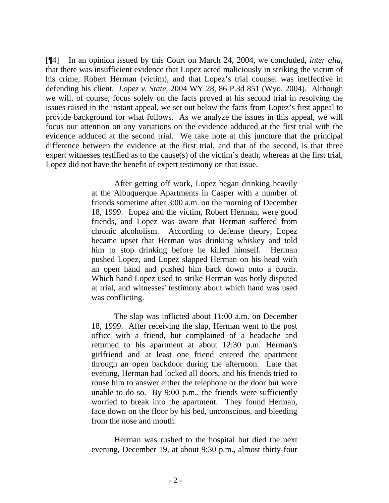[¶4] In an opinion issued by this Court on March 24, 2004, we concluded, *inter alia*, that there was insufficient evidence that Lopez acted maliciously in striking the victim of his crime, Robert Herman (victim), and that Lopez's trial counsel was ineffective in defending his client. *Lopez v. State*, 2004 WY 28, 86 P.3d 851 (Wyo. 2004). Although we will, of course, focus solely on the facts proved at his second trial in resolving the issues raised in the instant appeal, we set out below the facts from Lopez's first appeal to provide background for what follows. As we analyze the issues in this appeal, we will focus our attention on any variations on the evidence adduced at the first trial with the evidence adduced at the second trial. We take note at this juncture that the principal difference between the evidence at the first trial, and that of the second, is that three expert witnesses testified as to the cause(s) of the victim's death, whereas at the first trial, Lopez did not have the benefit of expert testimony on that issue.

> After getting off work, Lopez began drinking heavily at the Albuquerque Apartments in Casper with a number of friends sometime after 3:00 a.m. on the morning of December 18, 1999. Lopez and the victim, Robert Herman, were good friends, and Lopez was aware that Herman suffered from chronic alcoholism. According to defense theory, Lopez became upset that Herman was drinking whiskey and told him to stop drinking before he killed himself. Herman pushed Lopez, and Lopez slapped Herman on his head with an open hand and pushed him back down onto a couch. Which hand Lopez used to strike Herman was hotly disputed at trial, and witnesses' testimony about which hand was used was conflicting.

> The slap was inflicted about 11:00 a.m. on December 18, 1999. After receiving the slap, Herman went to the post office with a friend, but complained of a headache and returned to his apartment at about 12:30 p.m. Herman's girlfriend and at least one friend entered the apartment through an open backdoor during the afternoon. Late that evening, Herman had locked all doors, and his friends tried to rouse him to answer either the telephone or the door but were unable to do so. By 9:00 p.m., the friends were sufficiently worried to break into the apartment. They found Herman, face down on the floor by his bed, unconscious, and bleeding from the nose and mouth.

> Herman was rushed to the hospital but died the next evening, December 19, at about 9:30 p.m., almost thirty-four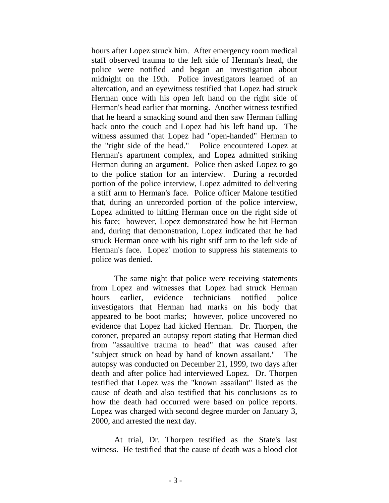hours after Lopez struck him. After emergency room medical staff observed trauma to the left side of Herman's head, the police were notified and began an investigation about midnight on the 19th. Police investigators learned of an altercation, and an eyewitness testified that Lopez had struck Herman once with his open left hand on the right side of Herman's head earlier that morning. Another witness testified that he heard a smacking sound and then saw Herman falling back onto the couch and Lopez had his left hand up. The witness assumed that Lopez had "open-handed" Herman to the "right side of the head." Police encountered Lopez at Herman's apartment complex, and Lopez admitted striking Herman during an argument. Police then asked Lopez to go to the police station for an interview. During a recorded portion of the police interview, Lopez admitted to delivering a stiff arm to Herman's face. Police officer Malone testified that, during an unrecorded portion of the police interview, Lopez admitted to hitting Herman once on the right side of his face; however, Lopez demonstrated how he hit Herman and, during that demonstration, Lopez indicated that he had struck Herman once with his right stiff arm to the left side of Herman's face. Lopez' motion to suppress his statements to police was denied.

 The same night that police were receiving statements from Lopez and witnesses that Lopez had struck Herman hours earlier, evidence technicians notified police investigators that Herman had marks on his body that appeared to be boot marks; however, police uncovered no evidence that Lopez had kicked Herman. Dr. Thorpen, the coroner, prepared an autopsy report stating that Herman died from "assaultive trauma to head" that was caused after "subject struck on head by hand of known assailant." The autopsy was conducted on December 21, 1999, two days after death and after police had interviewed Lopez. Dr. Thorpen testified that Lopez was the "known assailant" listed as the cause of death and also testified that his conclusions as to how the death had occurred were based on police reports. Lopez was charged with second degree murder on January 3, 2000, and arrested the next day.

 At trial, Dr. Thorpen testified as the State's last witness. He testified that the cause of death was a blood clot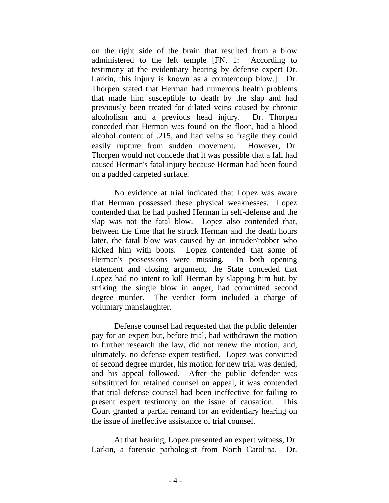on the right side of the brain that resulted from a blow administered to the left temple [FN. 1: According to testimony at the evidentiary hearing by defense expert Dr. Larkin, this injury is known as a countercoup blow.]. Dr. Thorpen stated that Herman had numerous health problems that made him susceptible to death by the slap and had previously been treated for dilated veins caused by chronic alcoholism and a previous head injury. Dr. Thorpen conceded that Herman was found on the floor, had a blood alcohol content of .215, and had veins so fragile they could easily rupture from sudden movement. However, Dr. Thorpen would not concede that it was possible that a fall had caused Herman's fatal injury because Herman had been found on a padded carpeted surface.

 No evidence at trial indicated that Lopez was aware that Herman possessed these physical weaknesses. Lopez contended that he had pushed Herman in self-defense and the slap was not the fatal blow. Lopez also contended that, between the time that he struck Herman and the death hours later, the fatal blow was caused by an intruder/robber who kicked him with boots. Lopez contended that some of Herman's possessions were missing. In both opening statement and closing argument, the State conceded that Lopez had no intent to kill Herman by slapping him but, by striking the single blow in anger, had committed second degree murder. The verdict form included a charge of voluntary manslaughter.

 Defense counsel had requested that the public defender pay for an expert but, before trial, had withdrawn the motion to further research the law, did not renew the motion, and, ultimately, no defense expert testified. Lopez was convicted of second degree murder, his motion for new trial was denied, and his appeal followed. After the public defender was substituted for retained counsel on appeal, it was contended that trial defense counsel had been ineffective for failing to present expert testimony on the issue of causation. This Court granted a partial remand for an evidentiary hearing on the issue of ineffective assistance of trial counsel.

 At that hearing, Lopez presented an expert witness, Dr. Larkin, a forensic pathologist from North Carolina. Dr.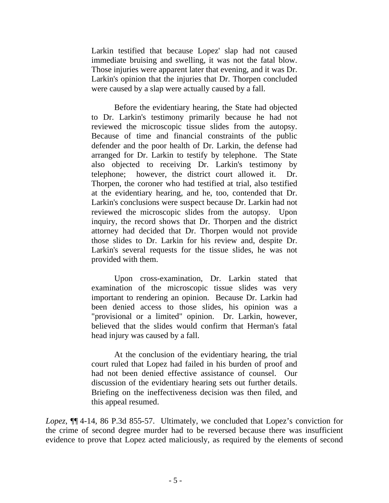Larkin testified that because Lopez' slap had not caused immediate bruising and swelling, it was not the fatal blow. Those injuries were apparent later that evening, and it was Dr. Larkin's opinion that the injuries that Dr. Thorpen concluded were caused by a slap were actually caused by a fall.

 Before the evidentiary hearing, the State had objected to Dr. Larkin's testimony primarily because he had not reviewed the microscopic tissue slides from the autopsy. Because of time and financial constraints of the public defender and the poor health of Dr. Larkin, the defense had arranged for Dr. Larkin to testify by telephone. The State also objected to receiving Dr. Larkin's testimony by telephone; however, the district court allowed it. Dr. Thorpen, the coroner who had testified at trial, also testified at the evidentiary hearing, and he, too, contended that Dr. Larkin's conclusions were suspect because Dr. Larkin had not reviewed the microscopic slides from the autopsy. Upon inquiry, the record shows that Dr. Thorpen and the district attorney had decided that Dr. Thorpen would not provide those slides to Dr. Larkin for his review and, despite Dr. Larkin's several requests for the tissue slides, he was not provided with them.

 Upon cross-examination, Dr. Larkin stated that examination of the microscopic tissue slides was very important to rendering an opinion. Because Dr. Larkin had been denied access to those slides, his opinion was a "provisional or a limited" opinion. Dr. Larkin, however, believed that the slides would confirm that Herman's fatal head injury was caused by a fall.

 At the conclusion of the evidentiary hearing, the trial court ruled that Lopez had failed in his burden of proof and had not been denied effective assistance of counsel. Our discussion of the evidentiary hearing sets out further details. Briefing on the ineffectiveness decision was then filed, and this appeal resumed.

*Lopez*, ¶¶ 4-14, 86 P.3d 855-57. Ultimately, we concluded that Lopez's conviction for the crime of second degree murder had to be reversed because there was insufficient evidence to prove that Lopez acted maliciously, as required by the elements of second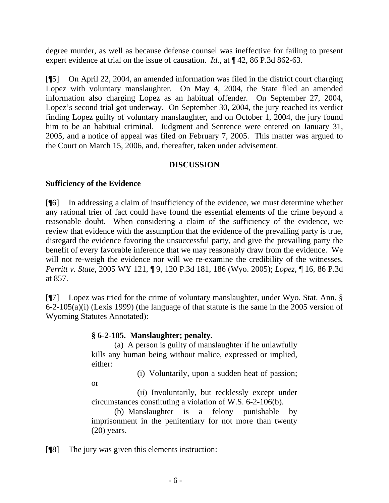degree murder, as well as because defense counsel was ineffective for failing to present expert evidence at trial on the issue of causation. *Id.*, at ¶ 42, 86 P.3d 862-63.

[¶5] On April 22, 2004, an amended information was filed in the district court charging Lopez with voluntary manslaughter. On May 4, 2004, the State filed an amended information also charging Lopez as an habitual offender. On September 27, 2004, Lopez's second trial got underway. On September 30, 2004, the jury reached its verdict finding Lopez guilty of voluntary manslaughter, and on October 1, 2004, the jury found him to be an habitual criminal. Judgment and Sentence were entered on January 31, 2005, and a notice of appeal was filed on February 7, 2005. This matter was argued to the Court on March 15, 2006, and, thereafter, taken under advisement.

# **DISCUSSION**

### **Sufficiency of the Evidence**

[¶6] In addressing a claim of insufficiency of the evidence, we must determine whether any rational trier of fact could have found the essential elements of the crime beyond a reasonable doubt. When considering a claim of the sufficiency of the evidence, we review that evidence with the assumption that the evidence of the prevailing party is true, disregard the evidence favoring the unsuccessful party, and give the prevailing party the benefit of every favorable inference that we may reasonably draw from the evidence. We will not re-weigh the evidence nor will we re-examine the credibility of the witnesses. *Perritt v. State*, 2005 WY 121, ¶ 9, 120 P.3d 181, 186 (Wyo. 2005); *Lopez*, ¶ 16, 86 P.3d at 857.

[¶7] Lopez was tried for the crime of voluntary manslaughter, under Wyo. Stat. Ann. § 6-2-105(a)(i) (Lexis 1999) (the language of that statute is the same in the 2005 version of Wyoming Statutes Annotated):

#### **§ 6-2-105. Manslaughter; penalty.**

 (a) A person is guilty of manslaughter if he unlawfully kills any human being without malice, expressed or implied, either:

(i) Voluntarily, upon a sudden heat of passion;

or

 (ii) Involuntarily, but recklessly except under circumstances constituting a violation of W.S. 6-2-106(b).

 (b) Manslaughter is a felony punishable by imprisonment in the penitentiary for not more than twenty (20) years.

[¶8] The jury was given this elements instruction: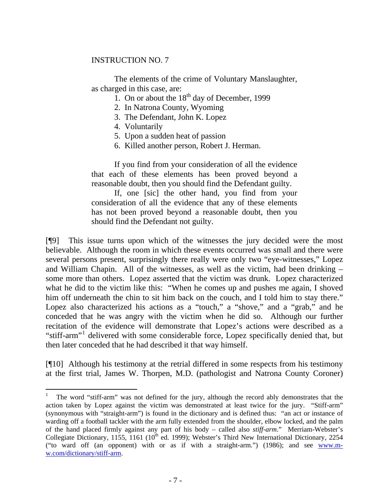#### INSTRUCTION NO. 7

 The elements of the crime of Voluntary Manslaughter, as charged in this case, are:

1. On or about the  $18<sup>th</sup>$  day of December, 1999

2. In Natrona County, Wyoming

3. The Defendant, John K. Lopez

4. Voluntarily

 $\overline{a}$ 

5. Upon a sudden heat of passion

6. Killed another person, Robert J. Herman.

 If you find from your consideration of all the evidence that each of these elements has been proved beyond a reasonable doubt, then you should find the Defendant guilty.

 If, one [sic] the other hand, you find from your consideration of all the evidence that any of these elements has not been proved beyond a reasonable doubt, then you should find the Defendant not guilty.

[¶9] This issue turns upon which of the witnesses the jury decided were the most believable. Although the room in which these events occurred was small and there were several persons present, surprisingly there really were only two "eye-witnesses," Lopez and William Chapin. All of the witnesses, as well as the victim, had been drinking – some more than others. Lopez asserted that the victim was drunk. Lopez characterized what he did to the victim like this: "When he comes up and pushes me again, I shoved him off underneath the chin to sit him back on the couch, and I told him to stay there." Lopez also characterized his actions as a "touch," a "shove," and a "grab," and he conceded that he was angry with the victim when he did so. Although our further recitation of the evidence will demonstrate that Lopez's actions were described as a "stiff-arm"<sup>[1](#page-8-0)</sup> delivered with some considerable force, Lopez specifically denied that, but then later conceded that he had described it that way himself.

[¶10] Although his testimony at the retrial differed in some respects from his testimony at the first trial, James W. Thorpen, M.D. (pathologist and Natrona County Coroner)

<span id="page-8-0"></span><sup>1</sup> The word "stiff-arm" was not defined for the jury, although the record ably demonstrates that the action taken by Lopez against the victim was demonstrated at least twice for the jury. "Stiff-arm" (synonymous with "straight-arm") is found in the dictionary and is defined thus: "an act or instance of warding off a football tackler with the arm fully extended from the shoulder, elbow locked, and the palm of the hand placed firmly against any part of his body – called also *stiff-arm*." Merriam-Webster's Collegiate Dictionary, 1155, 1161 (10<sup>th</sup> ed. 1999); Webster's Third New International Dictionary, 2254 ("to ward off (an opponent) with or as if with a straight-arm.") (1986); and see [www.m](http://www.m-w.com/dictionary/stiff-arm)[w.com/dictionary/stiff-arm.](http://www.m-w.com/dictionary/stiff-arm)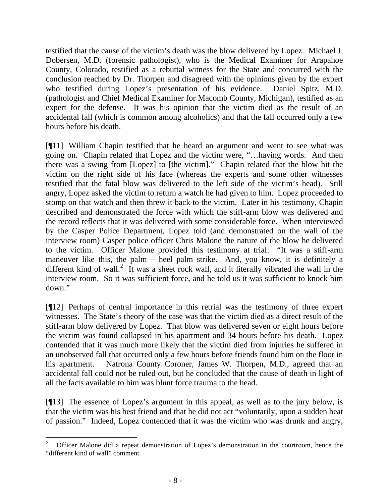testified that the cause of the victim's death was the blow delivered by Lopez. Michael J. Dobersen, M.D. (forensic pathologist), who is the Medical Examiner for Arapahoe County, Colorado, testified as a rebuttal witness for the State and concurred with the conclusion reached by Dr. Thorpen and disagreed with the opinions given by the expert who testified during Lopez's presentation of his evidence. Daniel Spitz, M.D. (pathologist and Chief Medical Examiner for Macomb County, Michigan), testified as an expert for the defense. It was his opinion that the victim died as the result of an accidental fall (which is common among alcoholics) and that the fall occurred only a few hours before his death.

[¶11] William Chapin testified that he heard an argument and went to see what was going on. Chapin related that Lopez and the victim were, "…having words. And then there was a swing from [Lopez] to [the victim]." Chapin related that the blow hit the victim on the right side of his face (whereas the experts and some other witnesses testified that the fatal blow was delivered to the left side of the victim's head). Still angry, Lopez asked the victim to return a watch he had given to him. Lopez proceeded to stomp on that watch and then threw it back to the victim. Later in his testimony, Chapin described and demonstrated the force with which the stiff-arm blow was delivered and the record reflects that it was delivered with some considerable force. When interviewed by the Casper Police Department, Lopez told (and demonstrated on the wall of the interview room) Casper police officer Chris Malone the nature of the blow he delivered to the victim. Officer Malone provided this testimony at trial: "It was a stiff-arm maneuver like this, the palm – heel palm strike. And, you know, it is definitely a different kind of wall.<sup>[2](#page-9-0)</sup> It was a sheet rock wall, and it literally vibrated the wall in the interview room. So it was sufficient force, and he told us it was sufficient to knock him down."

[¶12] Perhaps of central importance in this retrial was the testimony of three expert witnesses. The State's theory of the case was that the victim died as a direct result of the stiff-arm blow delivered by Lopez. That blow was delivered seven or eight hours before the victim was found collapsed in his apartment and 34 hours before his death. Lopez contended that it was much more likely that the victim died from injuries he suffered in an unobserved fall that occurred only a few hours before friends found him on the floor in his apartment. Natrona County Coroner, James W. Thorpen, M.D., agreed that an accidental fall could not be ruled out, but he concluded that the cause of death in light of all the facts available to him was blunt force trauma to the head.

[¶13] The essence of Lopez's argument in this appeal, as well as to the jury below, is that the victim was his best friend and that he did not act "voluntarily, upon a sudden heat of passion." Indeed, Lopez contended that it was the victim who was drunk and angry,

<span id="page-9-0"></span> 2 Officer Malone did a repeat demonstration of Lopez's demonstration in the courtroom, hence the "different kind of wall" comment.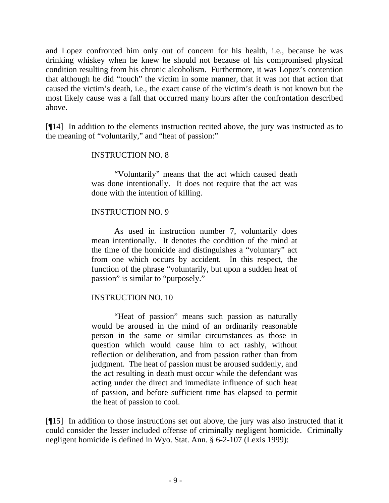and Lopez confronted him only out of concern for his health, i.e., because he was drinking whiskey when he knew he should not because of his compromised physical condition resulting from his chronic alcoholism. Furthermore, it was Lopez's contention that although he did "touch" the victim in some manner, that it was not that action that caused the victim's death, i.e., the exact cause of the victim's death is not known but the most likely cause was a fall that occurred many hours after the confrontation described above.

[¶14] In addition to the elements instruction recited above, the jury was instructed as to the meaning of "voluntarily," and "heat of passion:"

# INSTRUCTION NO. 8

 "Voluntarily" means that the act which caused death was done intentionally. It does not require that the act was done with the intention of killing.

### INSTRUCTION NO. 9

 As used in instruction number 7, voluntarily does mean intentionally. It denotes the condition of the mind at the time of the homicide and distinguishes a "voluntary" act from one which occurs by accident. In this respect, the function of the phrase "voluntarily, but upon a sudden heat of passion" is similar to "purposely."

# INSTRUCTION NO. 10

 "Heat of passion" means such passion as naturally would be aroused in the mind of an ordinarily reasonable person in the same or similar circumstances as those in question which would cause him to act rashly, without reflection or deliberation, and from passion rather than from judgment. The heat of passion must be aroused suddenly, and the act resulting in death must occur while the defendant was acting under the direct and immediate influence of such heat of passion, and before sufficient time has elapsed to permit the heat of passion to cool.

[¶15] In addition to those instructions set out above, the jury was also instructed that it could consider the lesser included offense of criminally negligent homicide. Criminally negligent homicide is defined in Wyo. Stat. Ann. § 6-2-107 (Lexis 1999):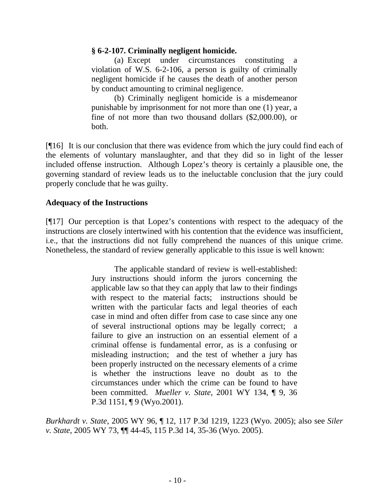### **§ 6-2-107. Criminally negligent homicide.**

 (a) Except under circumstances constituting a violation of W.S. 6-2-106, a person is guilty of criminally negligent homicide if he causes the death of another person by conduct amounting to criminal negligence.

 (b) Criminally negligent homicide is a misdemeanor punishable by imprisonment for not more than one (1) year, a fine of not more than two thousand dollars (\$2,000.00), or both.

[¶16] It is our conclusion that there was evidence from which the jury could find each of the elements of voluntary manslaughter, and that they did so in light of the lesser included offense instruction. Although Lopez's theory is certainly a plausible one, the governing standard of review leads us to the ineluctable conclusion that the jury could properly conclude that he was guilty.

# **Adequacy of the Instructions**

[¶17] Our perception is that Lopez's contentions with respect to the adequacy of the instructions are closely intertwined with his contention that the evidence was insufficient, i.e., that the instructions did not fully comprehend the nuances of this unique crime. Nonetheless, the standard of review generally applicable to this issue is well known:

> The applicable standard of review is well-established: Jury instructions should inform the jurors concerning the applicable law so that they can apply that law to their findings with respect to the material facts; instructions should be written with the particular facts and legal theories of each case in mind and often differ from case to case since any one of several instructional options may be legally correct; a failure to give an instruction on an essential element of a criminal offense is fundamental error, as is a confusing or misleading instruction; and the test of whether a jury has been properly instructed on the necessary elements of a crime is whether the instructions leave no doubt as to the circumstances under which the crime can be found to have been committed. *Mueller v. State*, 2001 WY 134, ¶ 9, 36 P.3d 1151, ¶ 9 (Wyo.2001).

*Burkhardt v. State*, 2005 WY 96, ¶ 12, 117 P.3d 1219, 1223 (Wyo. 2005); also see *Siler v. State*, 2005 WY 73, ¶¶ 44-45, 115 P.3d 14, 35-36 (Wyo. 2005).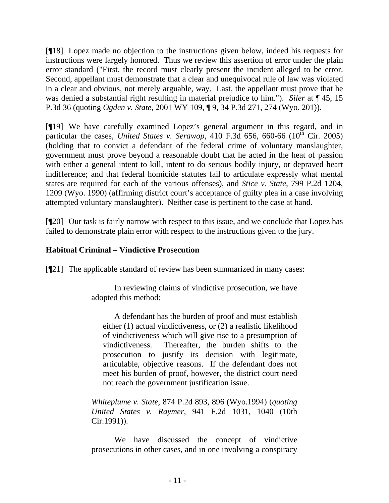[¶18] Lopez made no objection to the instructions given below, indeed his requests for instructions were largely honored. Thus we review this assertion of error under the plain error standard ("First, the record must clearly present the incident alleged to be error. Second, appellant must demonstrate that a clear and unequivocal rule of law was violated in a clear and obvious, not merely arguable, way. Last, the appellant must prove that he was denied a substantial right resulting in material prejudice to him."). *Siler* at ¶ 45, 15 P.3d 36 (quoting *Ogden v. State*, 2001 WY 109, ¶ 9, 34 P.3d 271, 274 (Wyo. 201)).

[¶19] We have carefully examined Lopez's general argument in this regard, and in particular the cases, *United States v. Serawop*, 410 F.3d 656, 660-66 ( $10^{\overline{h}}$  Cir. 2005) (holding that to convict a defendant of the federal crime of voluntary manslaughter, government must prove beyond a reasonable doubt that he acted in the heat of passion with either a general intent to kill, intent to do serious bodily injury, or depraved heart indifference; and that federal homicide statutes fail to articulate expressly what mental states are required for each of the various offenses), and *Stice v. State*, 799 P.2d 1204, 1209 (Wyo. 1990) (affirming district court's acceptance of guilty plea in a case involving attempted voluntary manslaughter). Neither case is pertinent to the case at hand.

[¶20] Our task is fairly narrow with respect to this issue, and we conclude that Lopez has failed to demonstrate plain error with respect to the instructions given to the jury.

# **Habitual Criminal – Vindictive Prosecution**

[¶21] The applicable standard of review has been summarized in many cases:

In reviewing claims of vindictive prosecution, we have adopted this method:

 A defendant has the burden of proof and must establish either (1) actual vindictiveness, or (2) a realistic likelihood of vindictiveness which will give rise to a presumption of vindictiveness. Thereafter, the burden shifts to the prosecution to justify its decision with legitimate, articulable, objective reasons. If the defendant does not meet his burden of proof, however, the district court need not reach the government justification issue.

*Whiteplume v. State*, 874 P.2d 893, 896 (Wyo.1994) (*quoting United States v. Raymer*, 941 F.2d 1031, 1040 (10th Cir.1991)).

 We have discussed the concept of vindictive prosecutions in other cases, and in one involving a conspiracy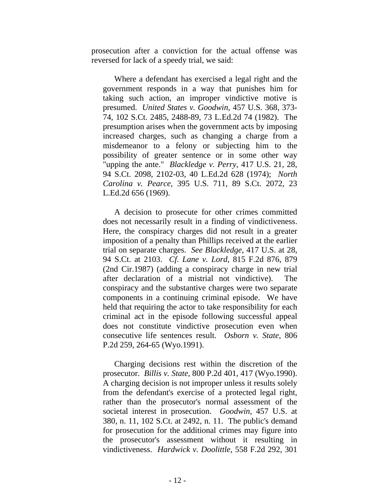prosecution after a conviction for the actual offense was reversed for lack of a speedy trial, we said:

 Where a defendant has exercised a legal right and the government responds in a way that punishes him for taking such action, an improper vindictive motive is presumed. *United States v. Goodwin*, 457 U.S. 368, 373- 74, 102 S.Ct. 2485, 2488-89, 73 L.Ed.2d 74 (1982). The presumption arises when the government acts by imposing increased charges, such as changing a charge from a misdemeanor to a felony or subjecting him to the possibility of greater sentence or in some other way "upping the ante." *Blackledge v. Perry*, 417 U.S. 21, 28, 94 S.Ct. 2098, 2102-03, 40 L.Ed.2d 628 (1974); *North Carolina v. Pearce*, 395 U.S. 711, 89 S.Ct. 2072, 23 L.Ed.2d 656 (1969).

 A decision to prosecute for other crimes committed does not necessarily result in a finding of vindictiveness. Here, the conspiracy charges did not result in a greater imposition of a penalty than Phillips received at the earlier trial on separate charges. *See Blackledge*, 417 U.S. at 28, 94 S.Ct. at 2103. *Cf. Lane v. Lord*, 815 F.2d 876, 879 (2nd Cir.1987) (adding a conspiracy charge in new trial after declaration of a mistrial not vindictive). The conspiracy and the substantive charges were two separate components in a continuing criminal episode. We have held that requiring the actor to take responsibility for each criminal act in the episode following successful appeal does not constitute vindictive prosecution even when consecutive life sentences result. *Osborn v. State*, 806 P.2d 259, 264-65 (Wyo.1991).

 Charging decisions rest within the discretion of the prosecutor. *Billis v. State*, 800 P.2d 401, 417 (Wyo.1990). A charging decision is not improper unless it results solely from the defendant's exercise of a protected legal right, rather than the prosecutor's normal assessment of the societal interest in prosecution. *Goodwin*, 457 U.S. at 380, n. 11, 102 S.Ct. at 2492, n. 11. The public's demand for prosecution for the additional crimes may figure into the prosecutor's assessment without it resulting in vindictiveness. *Hardwick v. Doolittle*, 558 F.2d 292, 301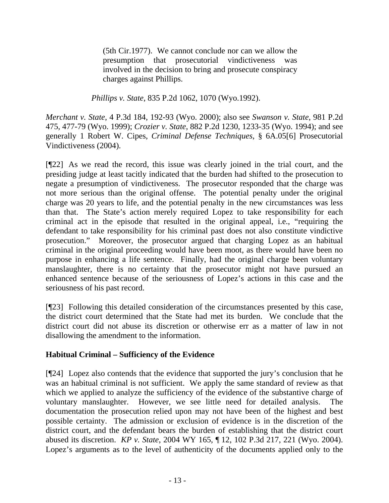(5th Cir.1977). We cannot conclude nor can we allow the presumption that prosecutorial vindictiveness was involved in the decision to bring and prosecute conspiracy charges against Phillips.

*Phillips v. State*, 835 P.2d 1062, 1070 (Wyo.1992).

*Merchant v. State*, 4 P.3d 184, 192-93 (Wyo. 2000); also see *Swanson v. State*, 981 P.2d 475, 477-79 (Wyo. 1999); *Crozier v. State*, 882 P.2d 1230, 1233-35 (Wyo. 1994); and see generally 1 Robert W. Cipes, *Criminal Defense Techniques*, § 6A.05[6] Prosecutorial Vindictiveness (2004).

[¶22] As we read the record, this issue was clearly joined in the trial court, and the presiding judge at least tacitly indicated that the burden had shifted to the prosecution to negate a presumption of vindictiveness. The prosecutor responded that the charge was not more serious than the original offense. The potential penalty under the original charge was 20 years to life, and the potential penalty in the new circumstances was less than that. The State's action merely required Lopez to take responsibility for each criminal act in the episode that resulted in the original appeal, i.e., "requiring the defendant to take responsibility for his criminal past does not also constitute vindictive prosecution." Moreover, the prosecutor argued that charging Lopez as an habitual criminal in the original proceeding would have been moot, as there would have been no purpose in enhancing a life sentence. Finally, had the original charge been voluntary manslaughter, there is no certainty that the prosecutor might not have pursued an enhanced sentence because of the seriousness of Lopez's actions in this case and the seriousness of his past record.

[¶23] Following this detailed consideration of the circumstances presented by this case, the district court determined that the State had met its burden. We conclude that the district court did not abuse its discretion or otherwise err as a matter of law in not disallowing the amendment to the information.

# **Habitual Criminal – Sufficiency of the Evidence**

[¶24] Lopez also contends that the evidence that supported the jury's conclusion that he was an habitual criminal is not sufficient. We apply the same standard of review as that which we applied to analyze the sufficiency of the evidence of the substantive charge of voluntary manslaughter. However, we see little need for detailed analysis. The documentation the prosecution relied upon may not have been of the highest and best possible certainty. The admission or exclusion of evidence is in the discretion of the district court, and the defendant bears the burden of establishing that the district court abused its discretion. *KP v. State*, 2004 WY 165, ¶ 12, 102 P.3d 217, 221 (Wyo. 2004). Lopez's arguments as to the level of authenticity of the documents applied only to the